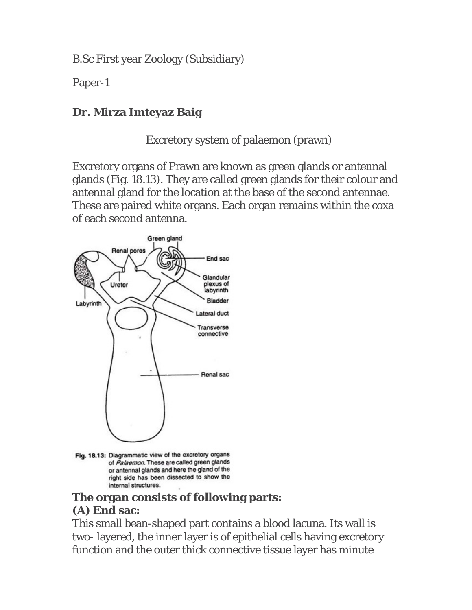B.Sc First year Zoology (Subsidiary)

Paper-1

#### **Dr. Mirza Imteyaz Baig**

Excretory system of palaemon (prawn)

Excretory organs of Prawn are known as green glands or antennal glands (Fig. 18.13). They are called green glands for their colour and antennal gland for the location at the base of the second antennae. These are paired white organs. Each organ remains within the coxa of each second antenna.



Fig. 18.13: Diagrammatic view of the excretory organs of Palaemon. These are called green glands or antennal glands and here the gland of the right side has been dissected to show the internal structures.

### **The organ consists of following parts: (A) End sac:**

This small bean-shaped part contains a blood lacuna. Its wall is two- layered, the inner layer is of epithelial cells having excretory function and the outer thick connective tissue layer has minute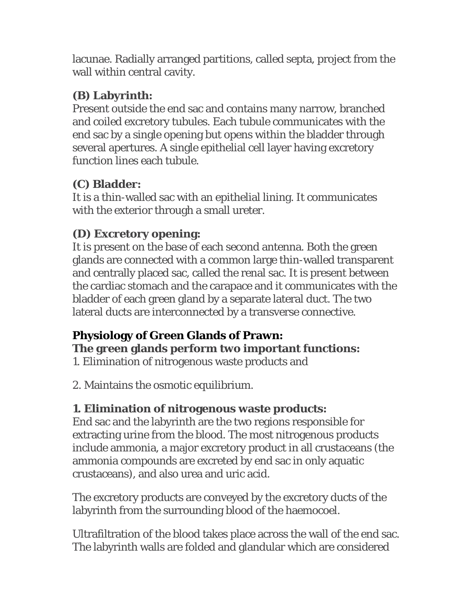lacunae. Radially arranged partitions, called septa, project from the wall within central cavity.

#### **(B) Labyrinth:**

Present outside the end sac and contains many narrow, branched and coiled excretory tubules. Each tubule communicates with the end sac by a single opening but opens within the bladder through several apertures. A single epithelial cell layer having excretory function lines each tubule.

# **(C) Bladder:**

It is a thin-walled sac with an epithelial lining. It communicates with the exterior through a small ureter.

## **(D) Excretory opening:**

It is present on the base of each second antenna. Both the green glands are connected with a common large thin-walled transparent and centrally placed sac, called the renal sac. It is present between the cardiac stomach and the carapace and it communicates with the bladder of each green gland by a separate lateral duct. The two lateral ducts are interconnected by a transverse connective.

# **Physiology of Green Glands of Prawn:**

**The green glands perform two important functions:**

1. Elimination of nitrogenous waste products and

2. Maintains the osmotic equilibrium.

#### **1. Elimination of nitrogenous waste products:**

End sac and the labyrinth are the two regions responsible for extracting urine from the blood. The most nitrogenous products include ammonia, a major excretory product in all crustaceans (the ammonia compounds are excreted by end sac in only aquatic crustaceans), and also urea and uric acid.

The excretory products are conveyed by the excretory ducts of the labyrinth from the surrounding blood of the haemocoel.

Ultrafiltration of the blood takes place across the wall of the end sac. The labyrinth walls are folded and glandular which are considered